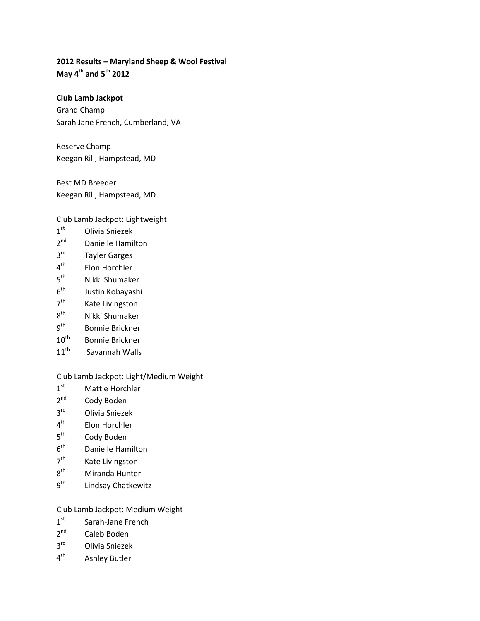## **2012 Results – Maryland Sheep & Wool Festival May 4th and 5th 2012**

**Club Lamb Jackpot** Grand Champ Sarah Jane French, Cumberland, VA

Reserve Champ Keegan Rill, Hampstead, MD

Best MD Breeder Keegan Rill, Hampstead, MD

Club Lamb Jackpot: Lightweight

- 1<sup>st</sup> Olivia Sniezek
- 2<sup>nd</sup> Danielle Hamilton
- 3rd Tayler Garges
- $4<sup>th</sup>$  Elon Horchler<br> $5<sup>th</sup>$  Nikki Shumake
- Nikki Shumaker
- 6<sup>th</sup> Justin Kobayashi
- 7<sup>th</sup> Kate Livingston
- $8<sup>th</sup>$  Nikki Shumaker<br> $9<sup>th</sup>$  Bonnie Brickner
- Bonnie Brickner
- 10<sup>th</sup> Bonnie Brickner
- 11<sup>th</sup> Savannah Walls

Club Lamb Jackpot: Light/Medium Weight

- 1<sup>st</sup> Mattie Horchler
- 2<sup>nd</sup> Cody Boden
- 3rd Olivia Sniezek
- 4<sup>th</sup> Elon Horchler
- 5<sup>th</sup> Cody Boden
- 6th Danielle Hamilton
- 7<sup>th</sup> Kate Livingston
- 8<sup>th</sup> Miranda Hunter
- 9<sup>th</sup> Lindsay Chatkewitz

## Club Lamb Jackpot: Medium Weight

- 1<sup>st</sup> Sarah-Jane French
- 2<sup>nd</sup> Caleb Boden
- $3<sup>rd</sup>$  Olivia Sniezek<br> $4<sup>th</sup>$  Ashlev Butler
- Ashley Butler